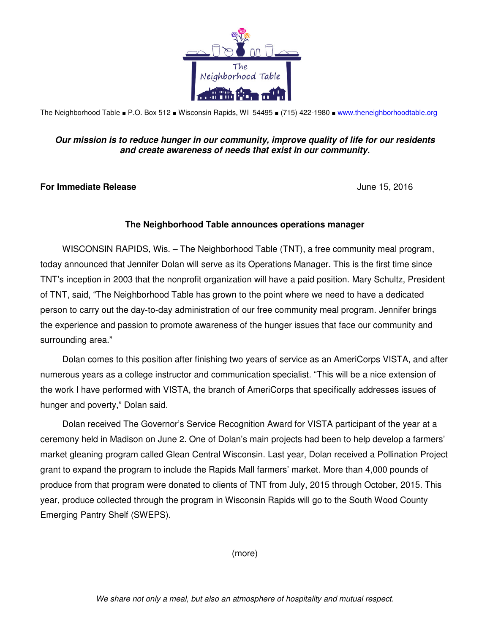

The Neighborhood Table ■ P.O. Box 512 ■ Wisconsin Rapids, WI 54495 ■ (715) 422-1980 ■ www.theneighborhoodtable.org

## **Our mission is to reduce hunger in our community, improve quality of life for our residents and create awareness of needs that exist in our community.**

## **For Immediate Release** June 15, 2016

## **The Neighborhood Table announces operations manager**

WISCONSIN RAPIDS, Wis. – The Neighborhood Table (TNT), a free community meal program, today announced that Jennifer Dolan will serve as its Operations Manager. This is the first time since TNT's inception in 2003 that the nonprofit organization will have a paid position. Mary Schultz, President of TNT, said, "The Neighborhood Table has grown to the point where we need to have a dedicated person to carry out the day-to-day administration of our free community meal program. Jennifer brings the experience and passion to promote awareness of the hunger issues that face our community and surrounding area."

Dolan comes to this position after finishing two years of service as an AmeriCorps VISTA, and after numerous years as a college instructor and communication specialist. "This will be a nice extension of the work I have performed with VISTA, the branch of AmeriCorps that specifically addresses issues of hunger and poverty," Dolan said.

Dolan received The Governor's Service Recognition Award for VISTA participant of the year at a ceremony held in Madison on June 2. One of Dolan's main projects had been to help develop a farmers' market gleaning program called Glean Central Wisconsin. Last year, Dolan received a Pollination Project grant to expand the program to include the Rapids Mall farmers' market. More than 4,000 pounds of produce from that program were donated to clients of TNT from July, 2015 through October, 2015. This year, produce collected through the program in Wisconsin Rapids will go to the South Wood County Emerging Pantry Shelf (SWEPS).

(more)